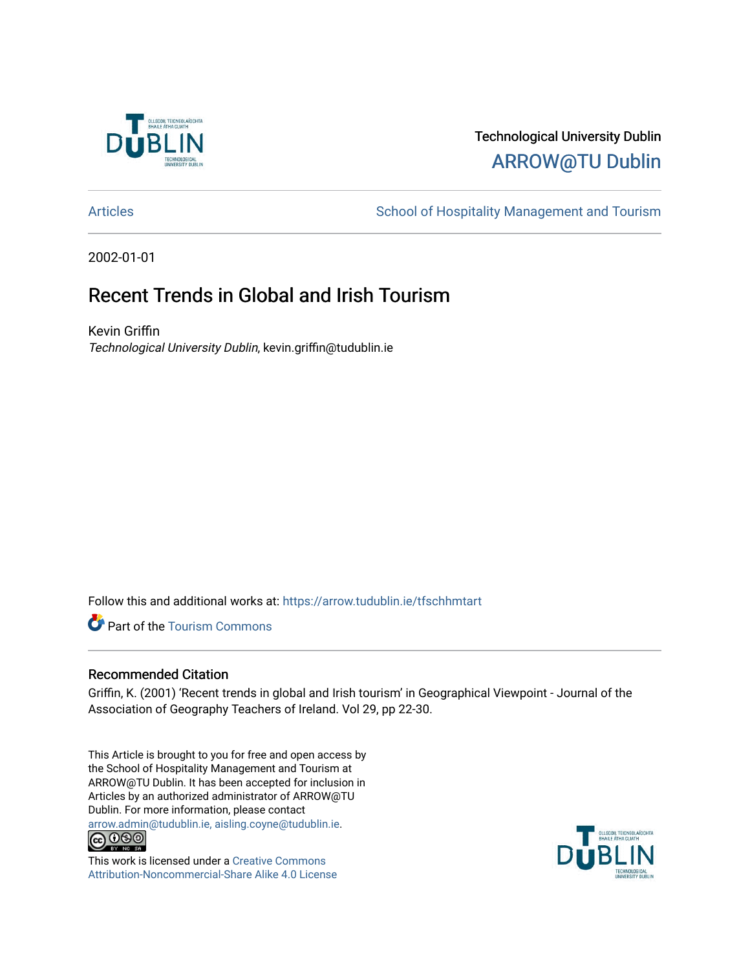

# Technological University Dublin [ARROW@TU Dublin](https://arrow.tudublin.ie/)

[Articles](https://arrow.tudublin.ie/tfschhmtart) **School of Hospitality Management and Tourism** 

2002-01-01

# Recent Trends in Global and Irish Tourism

Kevin Griffin Technological University Dublin, kevin.griffin@tudublin.ie

Follow this and additional works at: [https://arrow.tudublin.ie/tfschhmtart](https://arrow.tudublin.ie/tfschhmtart?utm_source=arrow.tudublin.ie%2Ftfschhmtart%2F46&utm_medium=PDF&utm_campaign=PDFCoverPages) 

Part of the [Tourism Commons](http://network.bepress.com/hgg/discipline/1022?utm_source=arrow.tudublin.ie%2Ftfschhmtart%2F46&utm_medium=PDF&utm_campaign=PDFCoverPages)

### Recommended Citation

Griffin, K. (2001) 'Recent trends in global and Irish tourism' in Geographical Viewpoint - Journal of the Association of Geography Teachers of Ireland. Vol 29, pp 22-30.

This Article is brought to you for free and open access by the School of Hospitality Management and Tourism at ARROW@TU Dublin. It has been accepted for inclusion in Articles by an authorized administrator of ARROW@TU Dublin. For more information, please contact [arrow.admin@tudublin.ie, aisling.coyne@tudublin.ie](mailto:arrow.admin@tudublin.ie,%20aisling.coyne@tudublin.ie).<br>
© 0 9 9 1



This work is licensed under a [Creative Commons](http://creativecommons.org/licenses/by-nc-sa/4.0/) [Attribution-Noncommercial-Share Alike 4.0 License](http://creativecommons.org/licenses/by-nc-sa/4.0/)

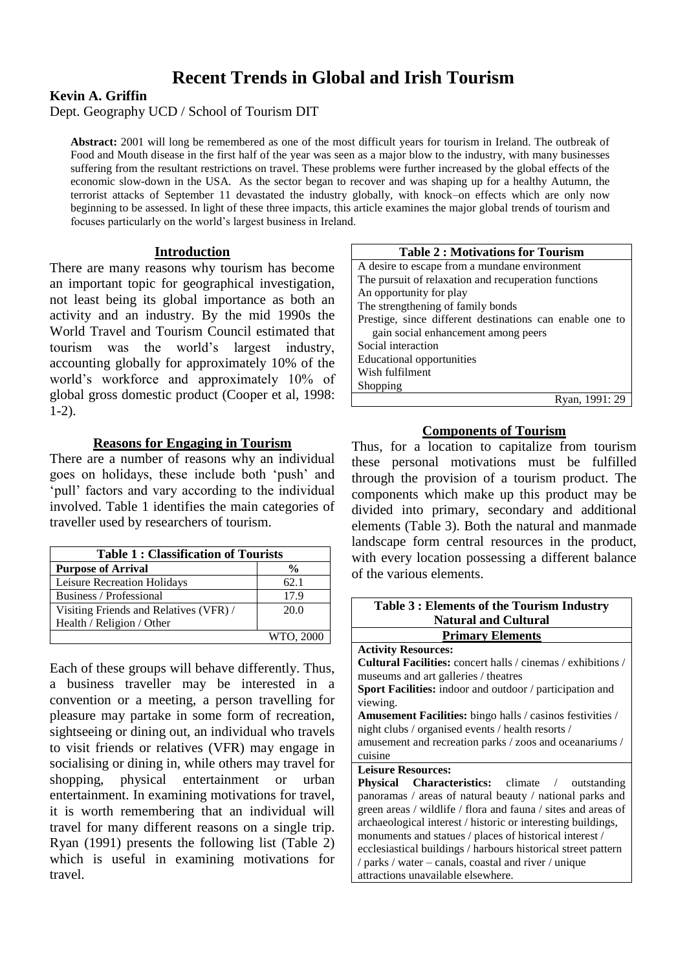# **Recent Trends in Global and Irish Tourism**

### **Kevin A. Griffin**

Dept. Geography UCD / School of Tourism DIT

**Abstract:** 2001 will long be remembered as one of the most difficult years for tourism in Ireland. The outbreak of Food and Mouth disease in the first half of the year was seen as a major blow to the industry, with many businesses suffering from the resultant restrictions on travel. These problems were further increased by the global effects of the economic slow-down in the USA. As the sector began to recover and was shaping up for a healthy Autumn, the terrorist attacks of September 11 devastated the industry globally, with knock–on effects which are only now beginning to be assessed. In light of these three impacts, this article examines the major global trends of tourism and focuses particularly on the world's largest business in Ireland.

#### **Introduction**

There are many reasons why tourism has become an important topic for geographical investigation, not least being its global importance as both an activity and an industry. By the mid 1990s the World Travel and Tourism Council estimated that tourism was the world's largest industry, accounting globally for approximately 10% of the world's workforce and approximately 10% of global gross domestic product (Cooper et al, 1998: 1-2).

#### **Reasons for Engaging in Tourism**

There are a number of reasons why an individual goes on holidays, these include both 'push' and 'pull' factors and vary according to the individual involved. Table 1 identifies the main categories of traveller used by researchers of tourism.

| <b>Table 1: Classification of Tourists</b> |               |  |
|--------------------------------------------|---------------|--|
| <b>Purpose of Arrival</b>                  | $\frac{0}{0}$ |  |
| Leisure Recreation Holidays                | 62.1          |  |
| Business / Professional                    | 17.9          |  |
| Visiting Friends and Relatives (VFR)/      | 20.0          |  |
| Health / Religion / Other                  |               |  |
|                                            | WTO, 2000     |  |

Each of these groups will behave differently. Thus, a business traveller may be interested in a convention or a meeting, a person travelling for pleasure may partake in some form of recreation, sightseeing or dining out, an individual who travels to visit friends or relatives (VFR) may engage in socialising or dining in, while others may travel for shopping, physical entertainment or urban entertainment. In examining motivations for travel, it is worth remembering that an individual will travel for many different reasons on a single trip. Ryan (1991) presents the following list (Table 2) which is useful in examining motivations for travel.

| <b>Table 2: Motivations for Tourism</b>                  |  |  |  |  |
|----------------------------------------------------------|--|--|--|--|
| A desire to escape from a mundane environment            |  |  |  |  |
| The pursuit of relaxation and recuperation functions     |  |  |  |  |
| An opportunity for play                                  |  |  |  |  |
| The strengthening of family bonds                        |  |  |  |  |
| Prestige, since different destinations can enable one to |  |  |  |  |
| gain social enhancement among peers                      |  |  |  |  |
| Social interaction                                       |  |  |  |  |
| <b>Educational opportunities</b>                         |  |  |  |  |
| Wish fulfilment                                          |  |  |  |  |
| Shopping                                                 |  |  |  |  |
| Ryan, 1991: 29                                           |  |  |  |  |

### **Components of Tourism**

Thus, for a location to capitalize from tourism these personal motivations must be fulfilled through the provision of a tourism product. The components which make up this product may be divided into primary, secondary and additional elements (Table 3). Both the natural and manmade landscape form central resources in the product, with every location possessing a different balance of the various elements.

| Table 3 : Elements of the Tourism Industry                       |  |  |  |  |
|------------------------------------------------------------------|--|--|--|--|
| <b>Natural and Cultural</b>                                      |  |  |  |  |
| <b>Primary Elements</b>                                          |  |  |  |  |
| <b>Activity Resources:</b>                                       |  |  |  |  |
| Cultural Facilities: concert halls / cinemas / exhibitions /     |  |  |  |  |
| museums and art galleries / theatres                             |  |  |  |  |
| <b>Sport Facilities:</b> indoor and outdoor / participation and  |  |  |  |  |
| viewing.                                                         |  |  |  |  |
| <b>Amusement Facilities:</b> bingo halls / casinos festivities / |  |  |  |  |
| night clubs / organised events / health resorts /                |  |  |  |  |
| amusement and recreation parks / zoos and oceanariums /          |  |  |  |  |
| cuisine                                                          |  |  |  |  |
| <b>Leisure Resources:</b>                                        |  |  |  |  |
| <b>Physical Characteristics:</b> climate / outstanding           |  |  |  |  |
| panoramas / areas of natural beauty / national parks and         |  |  |  |  |
| green areas / wildlife / flora and fauna / sites and areas of    |  |  |  |  |
| archaeological interest / historic or interesting buildings,     |  |  |  |  |
| monuments and statues / places of historical interest /          |  |  |  |  |
| ecclesiastical buildings / harbours historical street pattern    |  |  |  |  |
| / parks / water – canals, coastal and river / unique             |  |  |  |  |
| attractions unavailable elsewhere.                               |  |  |  |  |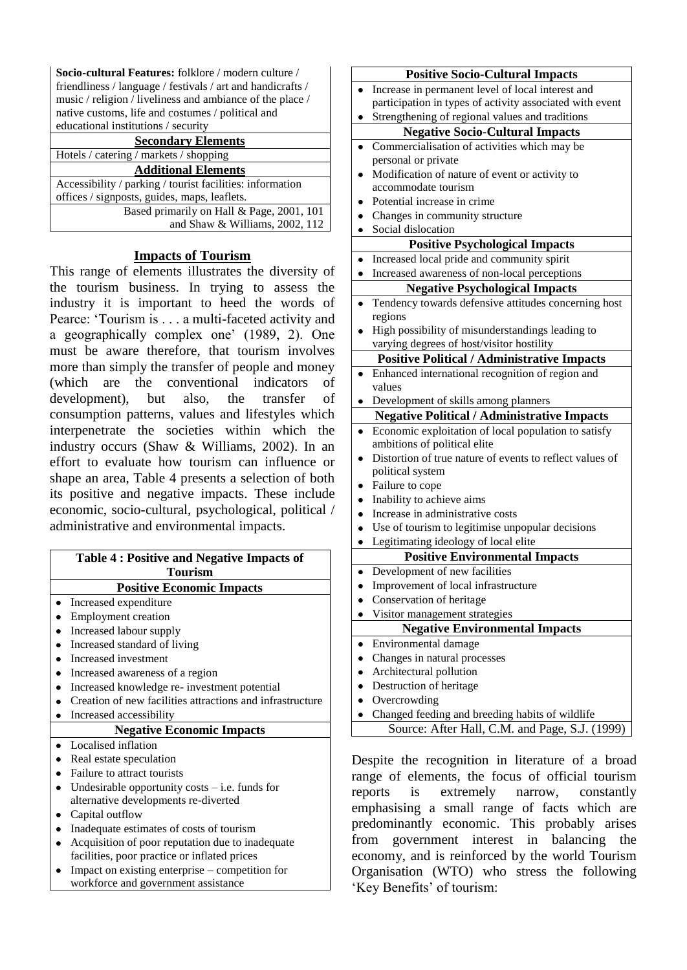**Socio-cultural Features:** folklore / modern culture / friendliness / language / festivals / art and handicrafts / music / religion / liveliness and ambiance of the place / native customs, life and costumes / political and educational institutions / security

| <b>Secondary Elements</b>                                 |
|-----------------------------------------------------------|
| Hotels / catering / markets / shopping                    |
| <b>Additional Elements</b>                                |
| Accessibility / parking / tourist facilities: information |
| offices / signposts, guides, maps, leaflets.              |
| Based primarily on Hall & Page, 2001, 101                 |
| and Shaw & Williams, 2002, 112                            |
|                                                           |

### **Impacts of Tourism**

This range of elements illustrates the diversity of the tourism business. In trying to assess the industry it is important to heed the words of Pearce: 'Tourism is . . . a multi-faceted activity and a geographically complex one' (1989, 2). One must be aware therefore, that tourism involves more than simply the transfer of people and money (which are the conventional indicators of development), but also, the transfer of consumption patterns, values and lifestyles which interpenetrate the societies within which the industry occurs (Shaw & Williams, 2002). In an effort to evaluate how tourism can influence or shape an area, Table 4 presents a selection of both its positive and negative impacts. These include economic, socio-cultural, psychological, political / administrative and environmental impacts.

|                                  | <b>Table 4: Positive and Negative Impacts of</b>          |  |  |  |
|----------------------------------|-----------------------------------------------------------|--|--|--|
| <b>Tourism</b>                   |                                                           |  |  |  |
| <b>Positive Economic Impacts</b> |                                                           |  |  |  |
|                                  | Increased expenditure                                     |  |  |  |
|                                  | <b>Employment</b> creation                                |  |  |  |
|                                  | Increased labour supply                                   |  |  |  |
|                                  | Increased standard of living                              |  |  |  |
|                                  | Increased investment                                      |  |  |  |
|                                  | Increased awareness of a region                           |  |  |  |
|                                  | Increased knowledge re- investment potential              |  |  |  |
|                                  | Creation of new facilities attractions and infrastructure |  |  |  |
|                                  | Increased accessibility                                   |  |  |  |
| <b>Negative Economic Impacts</b> |                                                           |  |  |  |
|                                  | Localised inflation                                       |  |  |  |
|                                  | Real estate speculation                                   |  |  |  |
|                                  | Failure to attract tourists                               |  |  |  |
|                                  | Undesirable opportunity costs $-$ i.e. funds for          |  |  |  |
|                                  | alternative developments re-diverted                      |  |  |  |
|                                  | Capital outflow                                           |  |  |  |
|                                  | Inadequate estimates of costs of tourism                  |  |  |  |
|                                  | Acquisition of poor reputation due to inadequate          |  |  |  |
|                                  | facilities, poor practice or inflated prices              |  |  |  |
|                                  | Impact on existing enterprise – competition for           |  |  |  |

Impact on existing enterprise – competition for workforce and government assistance

| <b>Positive Socio-Cultural Impacts</b>             |                                                          |  |  |  |
|----------------------------------------------------|----------------------------------------------------------|--|--|--|
|                                                    | Increase in permanent level of local interest and        |  |  |  |
|                                                    | participation in types of activity associated with event |  |  |  |
|                                                    | Strengthening of regional values and traditions          |  |  |  |
| <b>Negative Socio-Cultural Impacts</b>             |                                                          |  |  |  |
|                                                    | Commercialisation of activities which may be             |  |  |  |
|                                                    | personal or private                                      |  |  |  |
|                                                    | Modification of nature of event or activity to           |  |  |  |
|                                                    | accommodate tourism                                      |  |  |  |
|                                                    | Potential increase in crime                              |  |  |  |
|                                                    | Changes in community structure                           |  |  |  |
|                                                    | Social dislocation                                       |  |  |  |
|                                                    | <b>Positive Psychological Impacts</b>                    |  |  |  |
|                                                    | Increased local pride and community spirit               |  |  |  |
|                                                    | Increased awareness of non-local perceptions             |  |  |  |
|                                                    | <b>Negative Psychological Impacts</b>                    |  |  |  |
|                                                    | Tendency towards defensive attitudes concerning host     |  |  |  |
|                                                    | regions                                                  |  |  |  |
|                                                    | High possibility of misunderstandings leading to         |  |  |  |
|                                                    | varying degrees of host/visitor hostility                |  |  |  |
|                                                    | <b>Positive Political / Administrative Impacts</b>       |  |  |  |
|                                                    | Enhanced international recognition of region and         |  |  |  |
|                                                    | values                                                   |  |  |  |
|                                                    | Development of skills among planners                     |  |  |  |
| <b>Negative Political / Administrative Impacts</b> |                                                          |  |  |  |
| $\bullet$                                          | Economic exploitation of local population to satisfy     |  |  |  |
|                                                    | ambitions of political elite                             |  |  |  |
|                                                    | Distortion of true nature of events to reflect values of |  |  |  |
|                                                    | political system                                         |  |  |  |
|                                                    | Failure to cope                                          |  |  |  |
|                                                    | Inability to achieve aims                                |  |  |  |
|                                                    | Increase in administrative costs                         |  |  |  |
|                                                    | Use of tourism to legitimise unpopular decisions         |  |  |  |
|                                                    | Legitimating ideology of local elite                     |  |  |  |
|                                                    | <b>Positive Environmental Impacts</b>                    |  |  |  |
|                                                    | Development of new facilities                            |  |  |  |
|                                                    | Improvement of local infrastructure                      |  |  |  |
|                                                    | Conservation of heritage                                 |  |  |  |
|                                                    | Visitor management strategies                            |  |  |  |
|                                                    |                                                          |  |  |  |
|                                                    | <b>Negative Environmental Impacts</b>                    |  |  |  |
|                                                    | Environmental damage                                     |  |  |  |
|                                                    | Changes in natural processes                             |  |  |  |
|                                                    | Architectural pollution                                  |  |  |  |
|                                                    | Destruction of heritage                                  |  |  |  |
|                                                    | Overcrowding                                             |  |  |  |
|                                                    | Changed feeding and breeding habits of wildlife          |  |  |  |

Source: After Hall, C.M. and Page, S.J. (1999)

Despite the recognition in literature of a broad range of elements, the focus of official tourism reports is extremely narrow, constantly emphasising a small range of facts which are predominantly economic. This probably arises from government interest in balancing the economy, and is reinforced by the world Tourism Organisation (WTO) who stress the following 'Key Benefits' of tourism: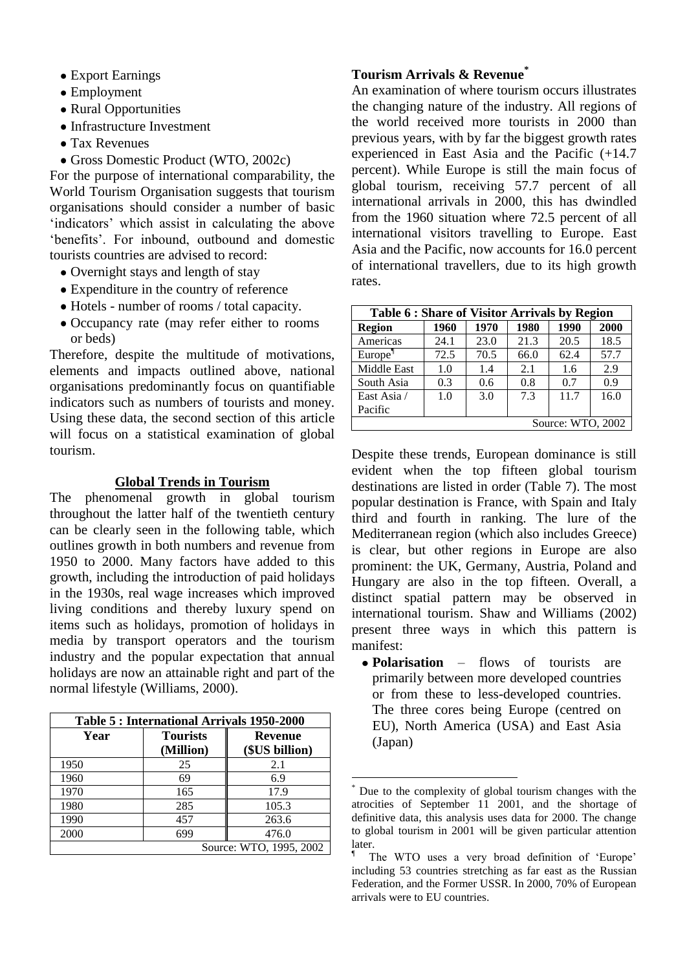- Export Earnings
- Employment
- Rural Opportunities
- Infrastructure Investment
- Tax Revenues
- Gross Domestic Product (WTO, 2002c)

For the purpose of international comparability, the World Tourism Organisation suggests that tourism organisations should consider a number of basic 'indicators' which assist in calculating the above 'benefits'. For inbound, outbound and domestic tourists countries are advised to record:

- Overnight stays and length of stay
- Expenditure in the country of reference
- Hotels number of rooms / total capacity.
- Occupancy rate (may refer either to rooms) or beds)

Therefore, despite the multitude of motivations, elements and impacts outlined above, national organisations predominantly focus on quantifiable indicators such as numbers of tourists and money. Using these data, the second section of this article will focus on a statistical examination of global tourism.

#### **Global Trends in Tourism**

The phenomenal growth in global tourism throughout the latter half of the twentieth century can be clearly seen in the following table, which outlines growth in both numbers and revenue from 1950 to 2000. Many factors have added to this growth, including the introduction of paid holidays in the 1930s, real wage increases which improved living conditions and thereby luxury spend on items such as holidays, promotion of holidays in media by transport operators and the tourism industry and the popular expectation that annual holidays are now an attainable right and part of the normal lifestyle (Williams, 2000).

| Table 5: International Arrivals 1950-2000 |                              |                                  |  |
|-------------------------------------------|------------------------------|----------------------------------|--|
| Year                                      | <b>Tourists</b><br>(Million) | <b>Revenue</b><br>(\$US billion) |  |
| 1950                                      | 25                           | 2.1                              |  |
| 1960                                      | 69                           | 6.9                              |  |
| 1970                                      | 165                          | 17.9                             |  |
| 1980                                      | 285                          | 105.3                            |  |
| 1990                                      | 457                          | 263.6                            |  |
| 2000                                      | 699                          | 476.0                            |  |
| Source: WTO, 1995, 2002                   |                              |                                  |  |

## **Tourism Arrivals & Revenue\***

An examination of where tourism occurs illustrates the changing nature of the industry. All regions of the world received more tourists in 2000 than previous years, with by far the biggest growth rates experienced in East Asia and the Pacific (+14.7 percent). While Europe is still the main focus of global tourism, receiving 57.7 percent of all international arrivals in 2000, this has dwindled from the 1960 situation where 72.5 percent of all international visitors travelling to Europe. East Asia and the Pacific, now accounts for 16.0 percent of international travellers, due to its high growth rates.

| Table 6 : Share of Visitor Arrivals by Region |      |      |      |      |      |
|-----------------------------------------------|------|------|------|------|------|
| <b>Region</b>                                 | 1960 | 1970 | 1980 | 1990 | 2000 |
| Americas                                      | 24.1 | 23.0 | 21.3 | 20.5 | 18.5 |
| Europe <sup>1</sup>                           | 72.5 | 70.5 | 66.0 | 62.4 | 57.7 |
| Middle East                                   | 1.0  | 1.4  | 2.1  | 1.6  | 2.9  |
| South Asia                                    | 0.3  | 0.6  | 0.8  | 0.7  | 0.9  |
| East Asia /                                   | 1.0  | 3.0  | 7.3  | 11.7 | 16.0 |
| Pacific                                       |      |      |      |      |      |
| Source: WTO, 2002                             |      |      |      |      |      |

Despite these trends, European dominance is still evident when the top fifteen global tourism destinations are listed in order (Table 7). The most popular destination is France, with Spain and Italy third and fourth in ranking. The lure of the Mediterranean region (which also includes Greece) is clear, but other regions in Europe are also prominent: the UK, Germany, Austria, Poland and Hungary are also in the top fifteen. Overall, a distinct spatial pattern may be observed in international tourism. Shaw and Williams (2002) present three ways in which this pattern is manifest:

**Polarisation** – flows of tourists are primarily between more developed countries or from these to less-developed countries. The three cores being Europe (centred on EU), North America (USA) and East Asia (Japan)

<u>.</u>

Due to the complexity of global tourism changes with the atrocities of September 11 2001, and the shortage of definitive data, this analysis uses data for 2000. The change to global tourism in 2001 will be given particular attention later.

<sup>¶</sup> The WTO uses a very broad definition of 'Europe' including 53 countries stretching as far east as the Russian Federation, and the Former USSR. In 2000, 70% of European arrivals were to EU countries.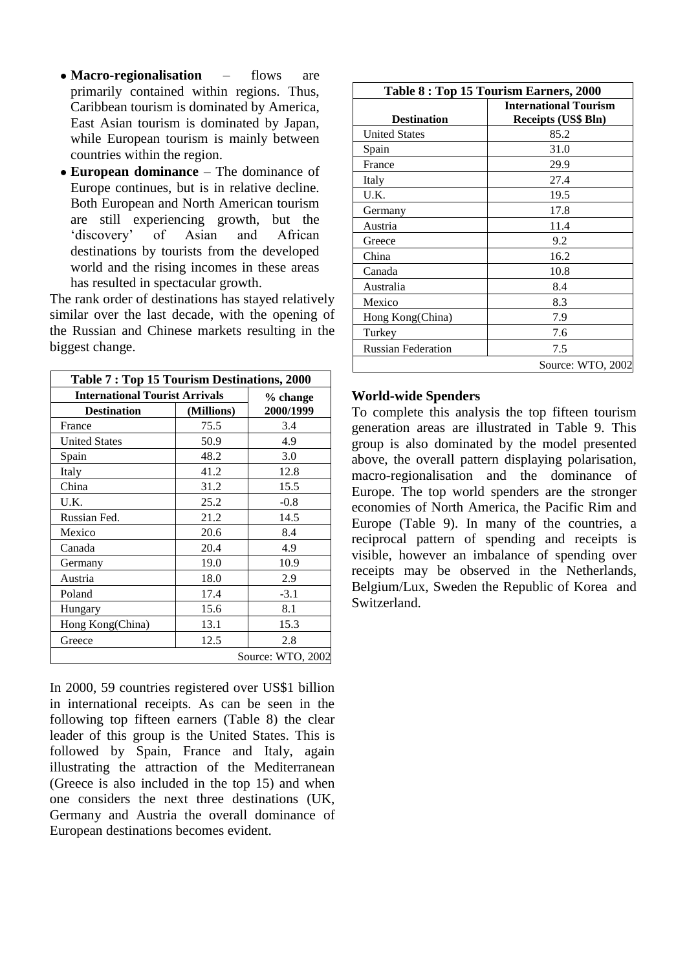- **Macro-regionalisation** flows are primarily contained within regions. Thus, Caribbean tourism is dominated by America, East Asian tourism is dominated by Japan, while European tourism is mainly between countries within the region.
- **European dominance** The dominance of Europe continues, but is in relative decline. Both European and North American tourism are still experiencing growth, but the 'discovery' of Asian and African destinations by tourists from the developed world and the rising incomes in these areas has resulted in spectacular growth.

The rank order of destinations has stayed relatively similar over the last decade, with the opening of the Russian and Chinese markets resulting in the biggest change.

| Table 7: Top 15 Tourism Destinations, 2000 |            |                   |
|--------------------------------------------|------------|-------------------|
| <b>International Tourist Arrivals</b>      | % change   |                   |
| <b>Destination</b>                         | (Millions) | 2000/1999         |
| France                                     | 75.5       | 3.4               |
| <b>United States</b>                       | 50.9       | 4.9               |
| Spain                                      | 48.2       | 3.0               |
| Italy                                      | 41.2       | 12.8              |
| China                                      | 31.2       | 15.5              |
| U.K.                                       | 25.2       | $-0.8$            |
| Russian Fed.                               | 21.2       | 14.5              |
| Mexico                                     | 20.6       | 8.4               |
| Canada                                     | 20.4       | 4.9               |
| Germany                                    | 19.0       | 10.9              |
| Austria                                    | 18.0       | 2.9               |
| Poland                                     | 17.4       | $-3.1$            |
| Hungary                                    | 15.6       | 8.1               |
| Hong Kong(China)                           | 13.1       | 15.3              |
| Greece                                     | 12.5       | 2.8               |
|                                            |            | Source: WTO, 2002 |

In 2000, 59 countries registered over US\$1 billion in international receipts. As can be seen in the following top fifteen earners (Table 8) the clear leader of this group is the United States. This is followed by Spain, France and Italy, again illustrating the attraction of the Mediterranean (Greece is also included in the top 15) and when one considers the next three destinations (UK, Germany and Austria the overall dominance of European destinations becomes evident.

| Table 8 : Top 15 Tourism Earners, 2000 |                              |  |
|----------------------------------------|------------------------------|--|
|                                        | <b>International Tourism</b> |  |
| <b>Destination</b>                     | <b>Receipts (US\$ Bln)</b>   |  |
| <b>United States</b>                   | 85.2                         |  |
| Spain                                  | 31.0                         |  |
| France                                 | 29.9                         |  |
| Italy                                  | 27.4                         |  |
| U.K.                                   | 19.5                         |  |
| Germany                                | 17.8                         |  |
| Austria                                | 11.4                         |  |
| Greece                                 | 9.2                          |  |
| China                                  | 16.2                         |  |
| Canada                                 | 10.8                         |  |
| Australia                              | 8.4                          |  |
| Mexico                                 | 8.3                          |  |
| Hong Kong(China)                       | 7.9                          |  |
| Turkey                                 | 7.6                          |  |
| <b>Russian Federation</b>              | 7.5                          |  |
|                                        | Source: WTO, 2002            |  |

#### **World-wide Spenders**

To complete this analysis the top fifteen tourism generation areas are illustrated in Table 9. This group is also dominated by the model presented above, the overall pattern displaying polarisation, macro-regionalisation and the dominance of Europe. The top world spenders are the stronger economies of North America, the Pacific Rim and Europe (Table 9). In many of the countries, a reciprocal pattern of spending and receipts is visible, however an imbalance of spending over receipts may be observed in the Netherlands, Belgium/Lux, Sweden the Republic of Korea and Switzerland.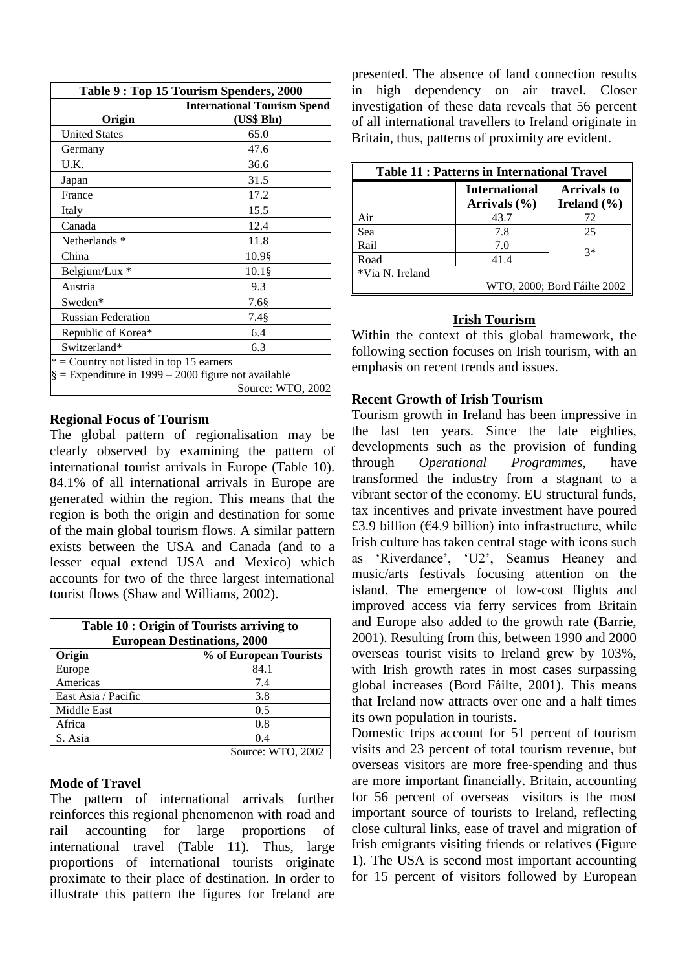| Table 9: Top 15 Tourism Spenders, 2000                 |                                    |  |
|--------------------------------------------------------|------------------------------------|--|
|                                                        | <b>International Tourism Spend</b> |  |
| Origin                                                 | (US\$ Bln)                         |  |
| <b>United States</b>                                   | 65.0                               |  |
| Germany                                                | 47.6                               |  |
| U.K.                                                   | 36.6                               |  |
| Japan                                                  | 31.5                               |  |
| France                                                 | 17.2                               |  |
| Italy                                                  | 15.5                               |  |
| Canada                                                 | 12.4                               |  |
| Netherlands *                                          | 11.8                               |  |
| China                                                  | 10.9§                              |  |
| Belgium/Lux *                                          | $10.1$ §                           |  |
| Austria                                                | 9.3                                |  |
| Sweden*                                                | 7.6§                               |  |
| <b>Russian Federation</b>                              | 7.4§                               |  |
| Republic of Korea*                                     | 6.4                                |  |
| Switzerland*                                           | 6.3                                |  |
| $*$ = Country not listed in top 15 earners             |                                    |  |
| $\S =$ Expenditure in 1999 – 2000 figure not available |                                    |  |
|                                                        | Source: WTO, 2002                  |  |

#### **Regional Focus of Tourism**

The global pattern of regionalisation may be clearly observed by examining the pattern of international tourist arrivals in Europe (Table 10). 84.1% of all international arrivals in Europe are generated within the region. This means that the region is both the origin and destination for some of the main global tourism flows. A similar pattern exists between the USA and Canada (and to a lesser equal extend USA and Mexico) which accounts for two of the three largest international tourist flows (Shaw and Williams, 2002).

| Table 10 : Origin of Tourists arriving to<br><b>European Destinations, 2000</b> |                   |  |
|---------------------------------------------------------------------------------|-------------------|--|
| % of European Tourists<br>Origin                                                |                   |  |
| Europe                                                                          | 84.1              |  |
| Americas                                                                        | 7.4               |  |
| East Asia / Pacific                                                             | 3.8               |  |
| Middle East                                                                     | 0.5               |  |
| Africa                                                                          | 0.8               |  |
| S. Asia                                                                         | 0.4               |  |
|                                                                                 | Source: WTO, 2002 |  |

### **Mode of Travel**

The pattern of international arrivals further reinforces this regional phenomenon with road and rail accounting for large proportions of international travel (Table 11). Thus, large proportions of international tourists originate proximate to their place of destination. In order to illustrate this pattern the figures for Ireland are presented. The absence of land connection results in high dependency on air travel. Closer investigation of these data reveals that 56 percent of all international travellers to Ireland originate in Britain, thus, patterns of proximity are evident.

| <b>Table 11: Patterns in International Travel</b> |                                          |                                       |  |
|---------------------------------------------------|------------------------------------------|---------------------------------------|--|
|                                                   | <b>International</b><br>Arrivals $(\% )$ | <b>Arrivals to</b><br>Ireland $(\% )$ |  |
| Air                                               | 43.7                                     | 72                                    |  |
| Sea                                               | 7.8                                      | 25                                    |  |
| Rail                                              | 7.0                                      | $3*$                                  |  |
| Road                                              | 41.4                                     |                                       |  |
| *Via N. Ireland                                   |                                          |                                       |  |
|                                                   | WTO, 2000; Bord Fáilte 2002              |                                       |  |

## **Irish Tourism**

Within the context of this global framework, the following section focuses on Irish tourism, with an emphasis on recent trends and issues.

### **Recent Growth of Irish Tourism**

Tourism growth in Ireland has been impressive in the last ten years. Since the late eighties, developments such as the provision of funding through *Operational Programmes*, have transformed the industry from a stagnant to a vibrant sector of the economy. EU structural funds, tax incentives and private investment have poured £3.9 billion ( $E$ 4.9 billion) into infrastructure, while Irish culture has taken central stage with icons such as 'Riverdance', 'U2', Seamus Heaney and music/arts festivals focusing attention on the island. The emergence of low-cost flights and improved access via ferry services from Britain and Europe also added to the growth rate (Barrie, 2001). Resulting from this, between 1990 and 2000 overseas tourist visits to Ireland grew by 103%, with Irish growth rates in most cases surpassing global increases (Bord Fáilte, 2001). This means that Ireland now attracts over one and a half times its own population in tourists.

Domestic trips account for 51 percent of tourism visits and 23 percent of total tourism revenue, but overseas visitors are more free-spending and thus are more important financially. Britain, accounting for 56 percent of overseas visitors is the most important source of tourists to Ireland, reflecting close cultural links, ease of travel and migration of Irish emigrants visiting friends or relatives (Figure 1). The USA is second most important accounting for 15 percent of visitors followed by European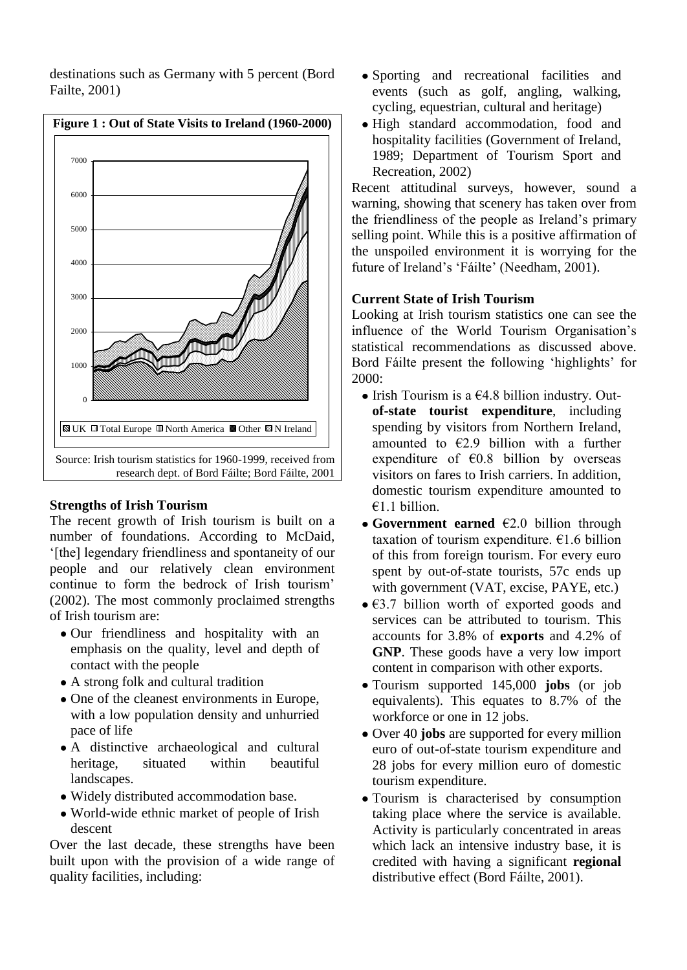

destinations such as Germany with 5 percent (Bord Failte, 2001)

# **Strengths of Irish Tourism**

The recent growth of Irish tourism is built on a number of foundations. According to McDaid, '[the] legendary friendliness and spontaneity of our people and our relatively clean environment continue to form the bedrock of Irish tourism' (2002). The most commonly proclaimed strengths of Irish tourism are:

- Our friendliness and hospitality with an emphasis on the quality, level and depth of contact with the people
- A strong folk and cultural tradition
- One of the cleanest environments in Europe, with a low population density and unhurried pace of life
- A distinctive archaeological and cultural heritage, situated within beautiful landscapes.
- Widely distributed accommodation base.
- World-wide ethnic market of people of Irish descent

Over the last decade, these strengths have been built upon with the provision of a wide range of quality facilities, including:

- Sporting and recreational facilities and events (such as golf, angling, walking, cycling, equestrian, cultural and heritage)
- High standard accommodation, food and hospitality facilities (Government of Ireland, 1989; Department of Tourism Sport and Recreation, 2002)

Recent attitudinal surveys, however, sound a warning, showing that scenery has taken over from the friendliness of the people as Ireland's primary selling point. While this is a positive affirmation of the unspoiled environment it is worrying for the future of Ireland's 'Fáilte' (Needham, 2001).

## **Current State of Irish Tourism**

Looking at Irish tourism statistics one can see the influence of the World Tourism Organisation's statistical recommendations as discussed above. Bord Fáilte present the following 'highlights' for 2000:

- $\bullet$  Irish Tourism is a  $\epsilon$ 4.8 billion industry. Out**of-state tourist expenditure**, including spending by visitors from Northern Ireland, amounted to  $\epsilon$ 2.9 billion with a further expenditure of  $\epsilon$ 0.8 billion by overseas visitors on fares to Irish carriers. In addition, domestic tourism expenditure amounted to €1.1 billion.
- **Government earned** €2.0 billion through taxation of tourism expenditure.  $E1.6$  billion of this from foreign tourism. For every euro spent by out-of-state tourists, 57c ends up with government (VAT, excise, PAYE, etc.)
- $\bullet$   $\epsilon$ 3.7 billion worth of exported goods and services can be attributed to tourism. This accounts for 3.8% of **exports** and 4.2% of **GNP**. These goods have a very low import content in comparison with other exports.
- Tourism supported 145,000 **jobs** (or job equivalents). This equates to 8.7% of the workforce or one in 12 jobs.
- Over 40 **jobs** are supported for every million euro of out-of-state tourism expenditure and 28 jobs for every million euro of domestic tourism expenditure.
- Tourism is characterised by consumption taking place where the service is available. Activity is particularly concentrated in areas which lack an intensive industry base, it is credited with having a significant **regional** distributive effect (Bord Fáilte, 2001).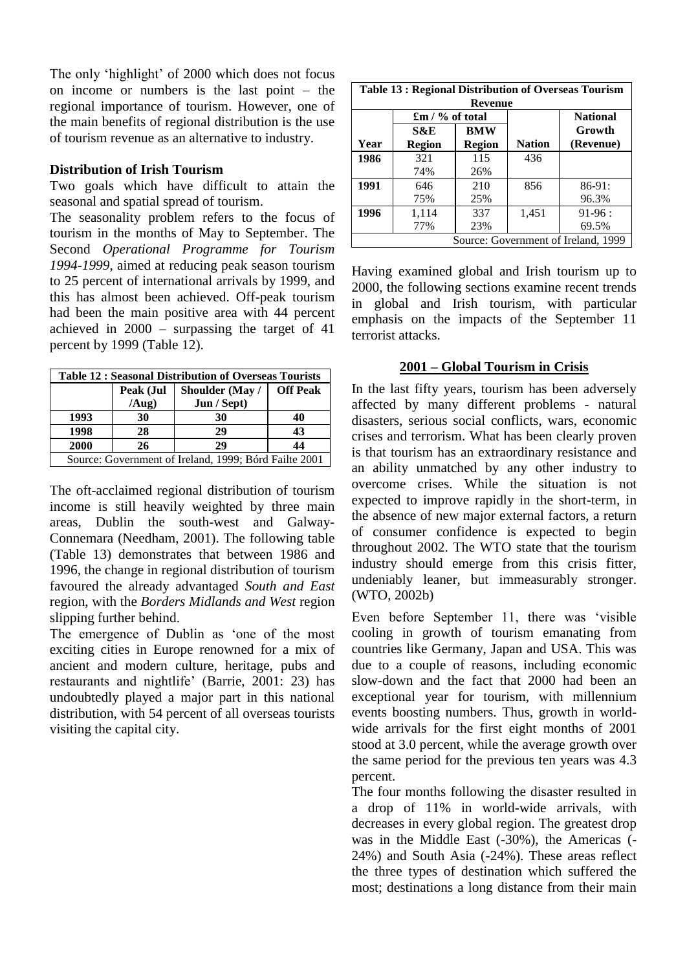The only 'highlight' of 2000 which does not focus on income or numbers is the last point – the regional importance of tourism. However, one of the main benefits of regional distribution is the use of tourism revenue as an alternative to industry.

#### **Distribution of Irish Tourism**

Two goals which have difficult to attain the seasonal and spatial spread of tourism.

The seasonality problem refers to the focus of tourism in the months of May to September. The Second *Operational Programme for Tourism 1994-1999*, aimed at reducing peak season tourism to 25 percent of international arrivals by 1999, and this has almost been achieved. Off-peak tourism had been the main positive area with 44 percent achieved in 2000 – surpassing the target of 41 percent by 1999 (Table 12).

| <b>Table 12: Seasonal Distribution of Overseas Tourists</b> |                    |                                |                 |
|-------------------------------------------------------------|--------------------|--------------------------------|-----------------|
|                                                             | Peak (Jul<br>(Aug) | Shoulder (May /<br>Jun / Sept) | <b>Off Peak</b> |
| 1993                                                        | 30                 | 30                             | 40              |
| 1998                                                        | 28                 | 29                             | 43              |
| 2000                                                        | 26                 | 29                             | 44              |
| Source: Government of Ireland, 1999; Bórd Failte 2001       |                    |                                |                 |

The oft-acclaimed regional distribution of tourism income is still heavily weighted by three main areas, Dublin the south-west and Galway-Connemara (Needham, 2001). The following table (Table 13) demonstrates that between 1986 and 1996, the change in regional distribution of tourism favoured the already advantaged *South and East* region, with the *Borders Midlands and West* region slipping further behind.

The emergence of Dublin as 'one of the most exciting cities in Europe renowned for a mix of ancient and modern culture, heritage, pubs and restaurants and nightlife' (Barrie, 2001: 23) has undoubtedly played a major part in this national distribution, with 54 percent of all overseas tourists visiting the capital city.

| <b>Table 13: Regional Distribution of Overseas Tourism</b><br><b>Revenue</b> |                             |            |               |                 |
|------------------------------------------------------------------------------|-----------------------------|------------|---------------|-----------------|
|                                                                              | $\mathbf{f}$ m / % of total |            |               | <b>National</b> |
|                                                                              | S&E                         | <b>BMW</b> |               | Growth          |
| Year                                                                         | <b>Region</b>               | Region     | <b>Nation</b> | (Revenue)       |
| 1986                                                                         | 321                         | 115        | 436           |                 |
|                                                                              | 74%                         | 26%        |               |                 |
| 1991                                                                         | 646                         | 210        | 856           | $86-91:$        |
|                                                                              | 75%                         | 25%        |               | 96.3%           |
| 1996                                                                         | 1,114                       | 337        | 1,451         | $91-96:$        |
|                                                                              | 77%                         | 23%        |               | 69.5%           |
| Source: Government of Ireland, 1999                                          |                             |            |               |                 |

Having examined global and Irish tourism up to 2000, the following sections examine recent trends in global and Irish tourism, with particular emphasis on the impacts of the September 11 terrorist attacks.

### **2001 – Global Tourism in Crisis**

In the last fifty years, tourism has been adversely affected by many different problems - natural disasters, serious social conflicts, wars, economic crises and terrorism. What has been clearly proven is that tourism has an extraordinary resistance and an ability unmatched by any other industry to overcome crises. While the situation is not expected to improve rapidly in the short-term, in the absence of new major external factors, a return of consumer confidence is expected to begin throughout 2002. The WTO state that the tourism industry should emerge from this crisis fitter, undeniably leaner, but immeasurably stronger. (WTO, 2002b)

Even before September 11, there was 'visible cooling in growth of tourism emanating from countries like Germany, Japan and USA. This was due to a couple of reasons, including economic slow-down and the fact that 2000 had been an exceptional year for tourism, with millennium events boosting numbers. Thus, growth in worldwide arrivals for the first eight months of 2001 stood at 3.0 percent, while the average growth over the same period for the previous ten years was 4.3 percent.

The four months following the disaster resulted in a drop of 11% in world-wide arrivals, with decreases in every global region. The greatest drop was in the Middle East (-30%), the Americas (- 24%) and South Asia (-24%). These areas reflect the three types of destination which suffered the most; destinations a long distance from their main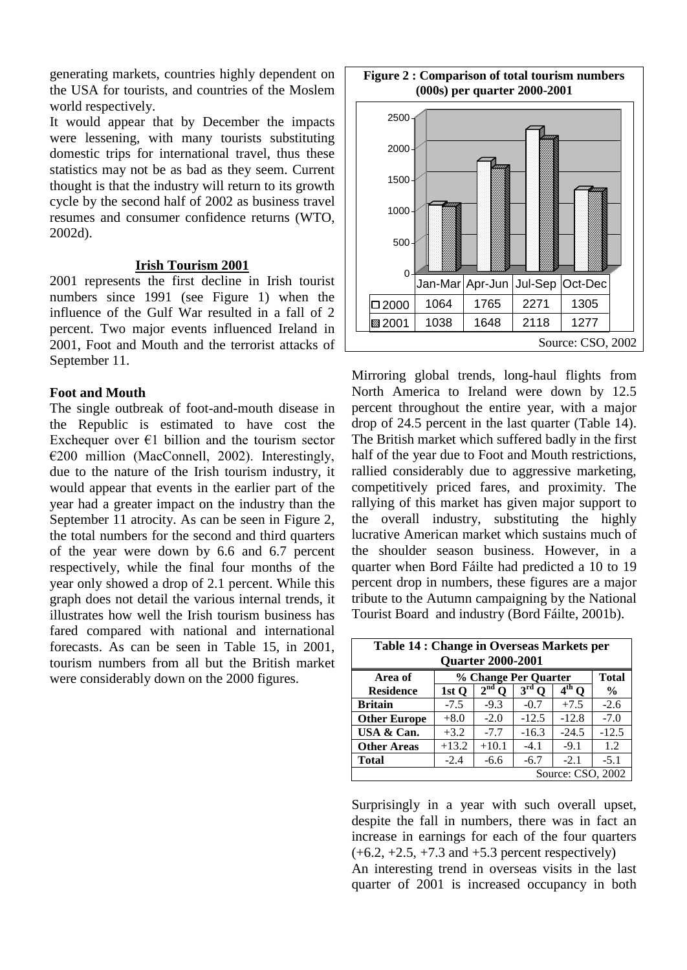generating markets, countries highly dependent on the USA for tourists, and countries of the Moslem world respectively.

It would appear that by December the impacts were lessening, with many tourists substituting domestic trips for international travel, thus these statistics may not be as bad as they seem. Current thought is that the industry will return to its growth cycle by the second half of 2002 as business travel resumes and consumer confidence returns (WTO, 2002d).

#### **Irish Tourism 2001**

2001 represents the first decline in Irish tourist numbers since 1991 (see Figure 1) when the influence of the Gulf War resulted in a fall of 2 percent. Two major events influenced Ireland in 2001, Foot and Mouth and the terrorist attacks of September 11.

#### **Foot and Mouth**

The single outbreak of foot-and-mouth disease in the Republic is estimated to have cost the Exchequer over  $\epsilon$ 1 billion and the tourism sector €200 million (MacConnell, 2002). Interestingly, due to the nature of the Irish tourism industry, it would appear that events in the earlier part of the year had a greater impact on the industry than the September 11 atrocity. As can be seen in Figure 2, the total numbers for the second and third quarters of the year were down by 6.6 and 6.7 percent respectively, while the final four months of the year only showed a drop of 2.1 percent. While this graph does not detail the various internal trends, it illustrates how well the Irish tourism business has fared compared with national and international forecasts. As can be seen in Table 15, in 2001, tourism numbers from all but the British market were considerably down on the 2000 figures.



Mirroring global trends, long-haul flights from North America to Ireland were down by 12.5 percent throughout the entire year, with a major drop of 24.5 percent in the last quarter (Table 14). The British market which suffered badly in the first half of the year due to Foot and Mouth restrictions, rallied considerably due to aggressive marketing, competitively priced fares, and proximity. The rallying of this market has given major support to the overall industry, substituting the highly lucrative American market which sustains much of the shoulder season business. However, in a quarter when Bord Fáilte had predicted a 10 to 19 percent drop in numbers, these figures are a major tribute to the Autumn campaigning by the National Tourist Board and industry (Bord Fáilte, 2001b).

| <b>Table 14 : Change in Overseas Markets per</b><br><b>Quarter 2000-2001</b> |                                      |                             |                 |            |         |
|------------------------------------------------------------------------------|--------------------------------------|-----------------------------|-----------------|------------|---------|
| Area of                                                                      | % Change Per Quarter<br><b>Total</b> |                             |                 |            |         |
| <b>Residence</b>                                                             | 1st Q                                | 2 <sup>nd</sup><br>$\bf{0}$ | 3 <sup>rd</sup> | $4^{th}$ O | $\%$    |
| <b>Britain</b>                                                               | $-7.5$                               | $-9.3$                      | $-0.7$          | $+7.5$     | $-2.6$  |
| <b>Other Europe</b>                                                          | $+8.0$                               | $-2.0$                      | $-12.5$         | $-12.8$    | $-7.0$  |
| USA & Can.                                                                   | $+3.2$                               | $-7.7$                      | $-16.3$         | $-24.5$    | $-12.5$ |
| <b>Other Areas</b>                                                           | $+13.2$                              | $+10.1$                     | $-4.1$          | $-9.1$     | 1.2     |
| <b>Total</b>                                                                 | $-2.4$                               | $-6.6$                      | $-6.7$          | $-2.1$     | $-5.1$  |
| Source: CSO, 2002                                                            |                                      |                             |                 |            |         |

Surprisingly in a year with such overall upset, despite the fall in numbers, there was in fact an increase in earnings for each of the four quarters  $(+6.2, +2.5, +7.3, and +5.3,$  percent respectively)

An interesting trend in overseas visits in the last quarter of 2001 is increased occupancy in both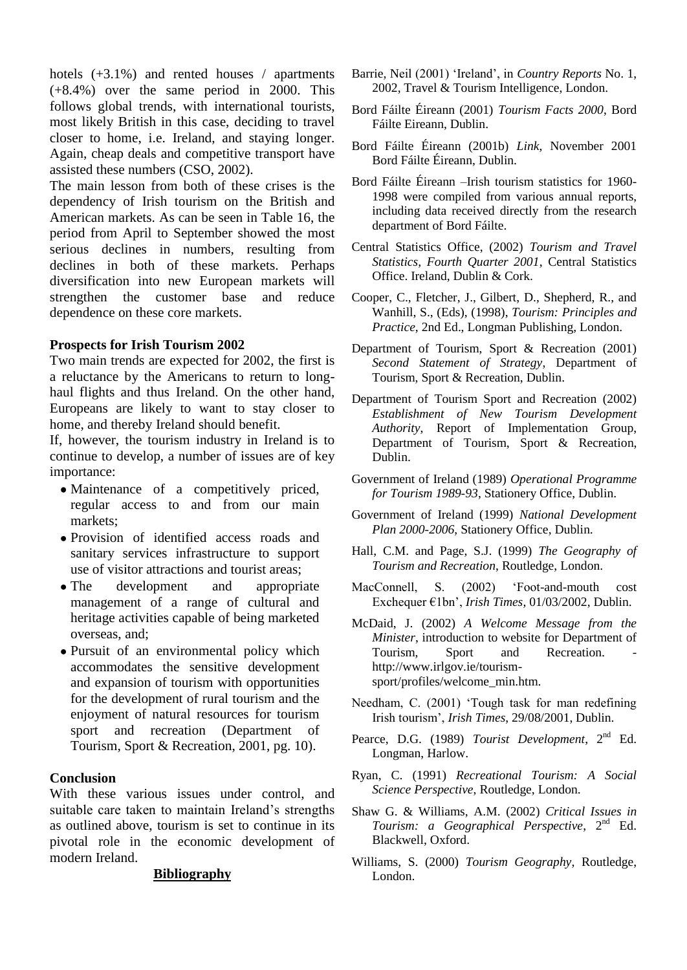hotels  $(+3.1\%)$  and rented houses / apartments (+8.4%) over the same period in 2000. This follows global trends, with international tourists, most likely British in this case, deciding to travel closer to home, i.e. Ireland, and staying longer. Again, cheap deals and competitive transport have assisted these numbers (CSO, 2002).

The main lesson from both of these crises is the dependency of Irish tourism on the British and American markets. As can be seen in Table 16, the period from April to September showed the most serious declines in numbers, resulting from declines in both of these markets. Perhaps diversification into new European markets will strengthen the customer base and reduce dependence on these core markets.

### **Prospects for Irish Tourism 2002**

Two main trends are expected for 2002, the first is a reluctance by the Americans to return to longhaul flights and thus Ireland. On the other hand, Europeans are likely to want to stay closer to home, and thereby Ireland should benefit.

If, however, the tourism industry in Ireland is to continue to develop, a number of issues are of key importance:

- Maintenance of a competitively priced, regular access to and from our main markets;
- Provision of identified access roads and sanitary services infrastructure to support use of visitor attractions and tourist areas;
- The development and appropriate management of a range of cultural and heritage activities capable of being marketed overseas, and;
- Pursuit of an environmental policy which accommodates the sensitive development and expansion of tourism with opportunities for the development of rural tourism and the enjoyment of natural resources for tourism sport and recreation (Department of Tourism, Sport & Recreation, 2001, pg. 10).

# **Conclusion**

With these various issues under control, and suitable care taken to maintain Ireland's strengths as outlined above, tourism is set to continue in its pivotal role in the economic development of modern Ireland.

### **Bibliography**

- Barrie, Neil (2001) 'Ireland', in *Country Reports* No. 1, 2002, Travel & Tourism Intelligence, London.
- Bord Fáilte Éireann (2001) *Tourism Facts 2000*, Bord Fáilte Eireann, Dublin.
- Bord Fáilte Éireann (2001b) *Link*, November 2001 Bord Fáilte Éireann, Dublin.
- Bord Fáilte Éireann –Irish tourism statistics for 1960- 1998 were compiled from various annual reports, including data received directly from the research department of Bord Fáilte.
- Central Statistics Office, (2002) *Tourism and Travel Statistics, Fourth Quarter 2001*, Central Statistics Office. Ireland, Dublin & Cork.
- Cooper, C., Fletcher, J., Gilbert, D., Shepherd, R., and Wanhill, S., (Eds), (1998), *Tourism: Principles and Practice*, 2nd Ed., Longman Publishing, London.
- Department of Tourism, Sport & Recreation (2001) *Second Statement of Strategy*, Department of Tourism, Sport & Recreation, Dublin.
- Department of Tourism Sport and Recreation (2002) *Establishment of New Tourism Development Authority*, Report of Implementation Group, Department of Tourism, Sport & Recreation, Dublin.
- Government of Ireland (1989) *Operational Programme for Tourism 1989-93*, Stationery Office, Dublin.
- Government of Ireland (1999) *National Development Plan 2000-2006*, Stationery Office, Dublin.
- Hall, C.M. and Page, S.J. (1999) *The Geography of Tourism and Recreation*, Routledge, London.
- MacConnell, S. (2002) 'Foot-and-mouth cost Exchequer €1bn', *Irish Times*, 01/03/2002, Dublin.
- McDaid, J. (2002) *A Welcome Message from the Minister*, introduction to website for Department of Tourism, Sport and Recreation. Tourism. Sport and Recreation. http://www.irlgov.ie/tourismsport/profiles/welcome\_min.htm.
- Needham, C. (2001) 'Tough task for man redefining Irish tourism', *Irish Times*, 29/08/2001, Dublin.
- Pearce, D.G. (1989) *Tourist Development*, 2<sup>nd</sup> Ed. Longman, Harlow.
- Ryan, C. (1991) *Recreational Tourism: A Social Science Perspective*, Routledge, London.
- Shaw G. & Williams, A.M. (2002) *Critical Issues in Tourism: a Geographical Perspective*, 2nd Ed. Blackwell, Oxford.
- Williams, S. (2000) *Tourism Geography*, Routledge, London.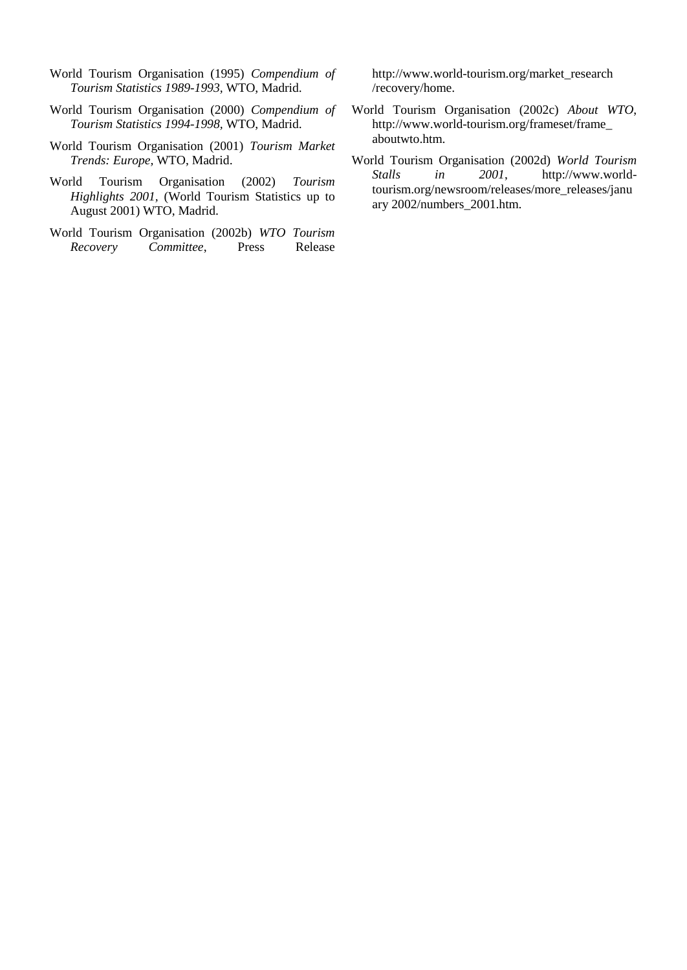- World Tourism Organisation (1995) *Compendium of Tourism Statistics 1989-1993,* WTO, Madrid.
- World Tourism Organisation (2000) *Compendium of Tourism Statistics 1994-1998,* WTO, Madrid.
- World Tourism Organisation (2001) *Tourism Market Trends: Europe,* WTO, Madrid.
- World Tourism Organisation (2002) *Tourism Highlights 2001,* (World Tourism Statistics up to August 2001) WTO, Madrid.
- World Tourism Organisation (2002b) *WTO Tourism Recovery Committee*, Press Release

http://www.world-tourism.org/market\_research /recovery/home.

- World Tourism Organisation (2002c) *About WTO*, http://www.world-tourism.org/frameset/frame\_ aboutwto.htm.
- World Tourism Organisation (2002d) *World Tourism Stalls in 2001*, http://www.worldtourism.org/newsroom/releases/more\_releases/janu ary 2002/numbers\_2001.htm.